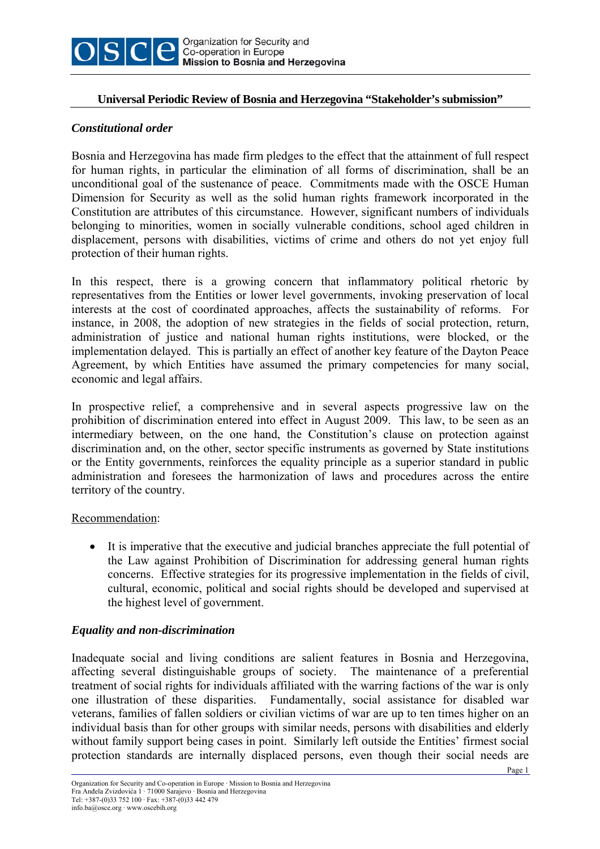

#### **Universal Periodic Review of Bosnia and Herzegovina "Stakeholder's submission"**

#### *Constitutional order*

Bosnia and Herzegovina has made firm pledges to the effect that the attainment of full respect for human rights, in particular the elimination of all forms of discrimination, shall be an unconditional goal of the sustenance of peace. Commitments made with the OSCE Human Dimension for Security as well as the solid human rights framework incorporated in the Constitution are attributes of this circumstance. However, significant numbers of individuals belonging to minorities, women in socially vulnerable conditions, school aged children in displacement, persons with disabilities, victims of crime and others do not yet enjoy full protection of their human rights.

In this respect, there is a growing concern that inflammatory political rhetoric by representatives from the Entities or lower level governments, invoking preservation of local interests at the cost of coordinated approaches, affects the sustainability of reforms. For instance, in 2008, the adoption of new strategies in the fields of social protection, return, administration of justice and national human rights institutions, were blocked, or the implementation delayed. This is partially an effect of another key feature of the Dayton Peace Agreement, by which Entities have assumed the primary competencies for many social, economic and legal affairs.

In prospective relief, a comprehensive and in several aspects progressive law on the prohibition of discrimination entered into effect in August 2009. This law, to be seen as an intermediary between, on the one hand, the Constitution's clause on protection against discrimination and, on the other, sector specific instruments as governed by State institutions or the Entity governments, reinforces the equality principle as a superior standard in public administration and foresees the harmonization of laws and procedures across the entire territory of the country.

#### Recommendation:

• It is imperative that the executive and judicial branches appreciate the full potential of the Law against Prohibition of Discrimination for addressing general human rights concerns. Effective strategies for its progressive implementation in the fields of civil, cultural, economic, political and social rights should be developed and supervised at the highest level of government.

# *Equality and non-discrimination*

Inadequate social and living conditions are salient features in Bosnia and Herzegovina, affecting several distinguishable groups of society. The maintenance of a preferential treatment of social rights for individuals affiliated with the warring factions of the war is only one illustration of these disparities. Fundamentally, social assistance for disabled war veterans, families of fallen soldiers or civilian victims of war are up to ten times higher on an individual basis than for other groups with similar needs, persons with disabilities and elderly without family support being cases in point. Similarly left outside the Entities' firmest social protection standards are internally displaced persons, even though their social needs are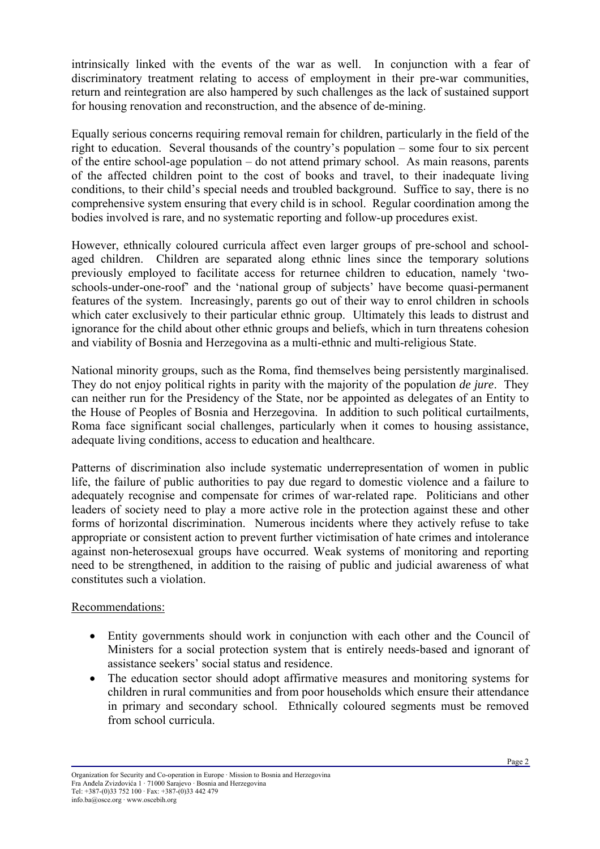intrinsically linked with the events of the war as well. In conjunction with a fear of discriminatory treatment relating to access of employment in their pre-war communities, return and reintegration are also hampered by such challenges as the lack of sustained support for housing renovation and reconstruction, and the absence of de-mining.

Equally serious concerns requiring removal remain for children, particularly in the field of the right to education. Several thousands of the country's population – some four to six percent of the entire school-age population – do not attend primary school. As main reasons, parents of the affected children point to the cost of books and travel, to their inadequate living conditions, to their child's special needs and troubled background. Suffice to say, there is no comprehensive system ensuring that every child is in school. Regular coordination among the bodies involved is rare, and no systematic reporting and follow-up procedures exist.

However, ethnically coloured curricula affect even larger groups of pre-school and schoolaged children. Children are separated along ethnic lines since the temporary solutions previously employed to facilitate access for returnee children to education, namely 'twoschools-under-one-roof' and the 'national group of subjects' have become quasi-permanent features of the system. Increasingly, parents go out of their way to enrol children in schools which cater exclusively to their particular ethnic group. Ultimately this leads to distrust and ignorance for the child about other ethnic groups and beliefs, which in turn threatens cohesion and viability of Bosnia and Herzegovina as a multi-ethnic and multi-religious State.

National minority groups, such as the Roma, find themselves being persistently marginalised. They do not enjoy political rights in parity with the majority of the population *de jure*. They can neither run for the Presidency of the State, nor be appointed as delegates of an Entity to the House of Peoples of Bosnia and Herzegovina. In addition to such political curtailments, Roma face significant social challenges, particularly when it comes to housing assistance, adequate living conditions, access to education and healthcare.

Patterns of discrimination also include systematic underrepresentation of women in public life, the failure of public authorities to pay due regard to domestic violence and a failure to adequately recognise and compensate for crimes of war-related rape. Politicians and other leaders of society need to play a more active role in the protection against these and other forms of horizontal discrimination. Numerous incidents where they actively refuse to take appropriate or consistent action to prevent further victimisation of hate crimes and intolerance against non-heterosexual groups have occurred. Weak systems of monitoring and reporting need to be strengthened, in addition to the raising of public and judicial awareness of what constitutes such a violation.

# Recommendations:

- Entity governments should work in conjunction with each other and the Council of Ministers for a social protection system that is entirely needs-based and ignorant of assistance seekers' social status and residence.
- The education sector should adopt affirmative measures and monitoring systems for children in rural communities and from poor households which ensure their attendance in primary and secondary school. Ethnically coloured segments must be removed from school curricula.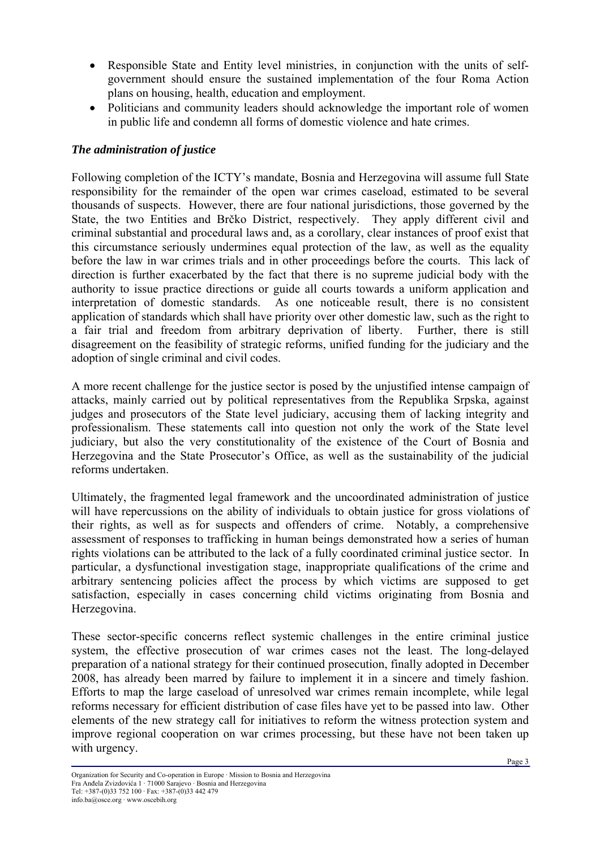- Responsible State and Entity level ministries, in conjunction with the units of selfgovernment should ensure the sustained implementation of the four Roma Action plans on housing, health, education and employment.
- Politicians and community leaders should acknowledge the important role of women in public life and condemn all forms of domestic violence and hate crimes.

# *The administration of justice*

Following completion of the ICTY's mandate, Bosnia and Herzegovina will assume full State responsibility for the remainder of the open war crimes caseload, estimated to be several thousands of suspects. However, there are four national jurisdictions, those governed by the State, the two Entities and Brčko District, respectively. They apply different civil and criminal substantial and procedural laws and, as a corollary, clear instances of proof exist that this circumstance seriously undermines equal protection of the law, as well as the equality before the law in war crimes trials and in other proceedings before the courts. This lack of direction is further exacerbated by the fact that there is no supreme judicial body with the authority to issue practice directions or guide all courts towards a uniform application and interpretation of domestic standards. As one noticeable result, there is no consistent application of standards which shall have priority over other domestic law, such as the right to a fair trial and freedom from arbitrary deprivation of liberty. Further, there is still disagreement on the feasibility of strategic reforms, unified funding for the judiciary and the adoption of single criminal and civil codes.

A more recent challenge for the justice sector is posed by the unjustified intense campaign of attacks, mainly carried out by political representatives from the Republika Srpska, against judges and prosecutors of the State level judiciary, accusing them of lacking integrity and professionalism. These statements call into question not only the work of the State level judiciary, but also the very constitutionality of the existence of the Court of Bosnia and Herzegovina and the State Prosecutor's Office, as well as the sustainability of the judicial reforms undertaken.

Ultimately, the fragmented legal framework and the uncoordinated administration of justice will have repercussions on the ability of individuals to obtain justice for gross violations of their rights, as well as for suspects and offenders of crime. Notably, a comprehensive assessment of responses to trafficking in human beings demonstrated how a series of human rights violations can be attributed to the lack of a fully coordinated criminal justice sector. In particular, a dysfunctional investigation stage, inappropriate qualifications of the crime and arbitrary sentencing policies affect the process by which victims are supposed to get satisfaction, especially in cases concerning child victims originating from Bosnia and Herzegovina.

These sector-specific concerns reflect systemic challenges in the entire criminal justice system, the effective prosecution of war crimes cases not the least. The long-delayed preparation of a national strategy for their continued prosecution, finally adopted in December 2008, has already been marred by failure to implement it in a sincere and timely fashion. Efforts to map the large caseload of unresolved war crimes remain incomplete, while legal reforms necessary for efficient distribution of case files have yet to be passed into law. Other elements of the new strategy call for initiatives to reform the witness protection system and improve regional cooperation on war crimes processing, but these have not been taken up with urgency.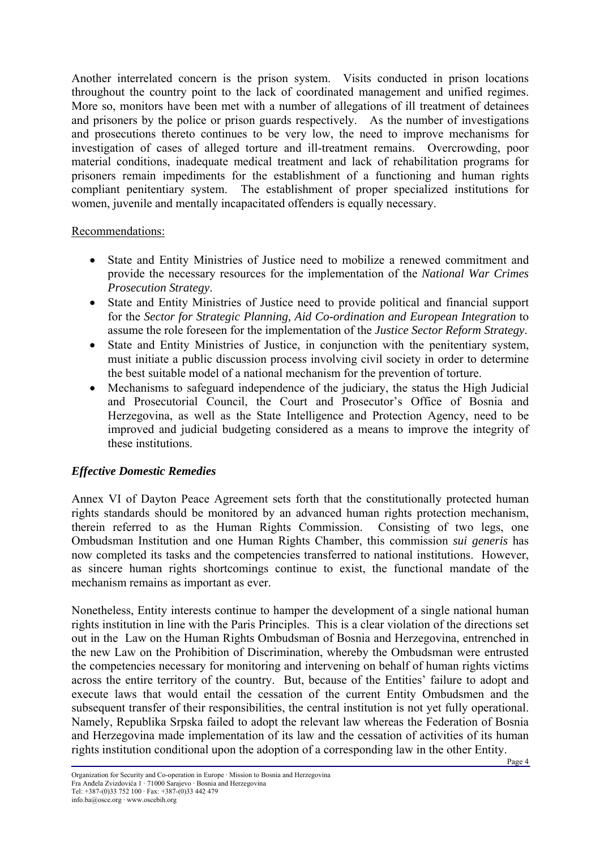Another interrelated concern is the prison system. Visits conducted in prison locations throughout the country point to the lack of coordinated management and unified regimes. More so, monitors have been met with a number of allegations of ill treatment of detainees and prisoners by the police or prison guards respectively. As the number of investigations and prosecutions thereto continues to be very low, the need to improve mechanisms for investigation of cases of alleged torture and ill-treatment remains. Overcrowding, poor material conditions, inadequate medical treatment and lack of rehabilitation programs for prisoners remain impediments for the establishment of a functioning and human rights compliant penitentiary system. The establishment of proper specialized institutions for women, juvenile and mentally incapacitated offenders is equally necessary.

#### Recommendations:

- State and Entity Ministries of Justice need to mobilize a renewed commitment and provide the necessary resources for the implementation of the *National War Crimes Prosecution Strategy*.
- State and Entity Ministries of Justice need to provide political and financial support for the *Sector for Strategic Planning, Aid Co-ordination and European Integration* to assume the role foreseen for the implementation of the *Justice Sector Reform Strategy*.
- State and Entity Ministries of Justice, in conjunction with the penitentiary system, must initiate a public discussion process involving civil society in order to determine the best suitable model of a national mechanism for the prevention of torture.
- Mechanisms to safeguard independence of the judiciary, the status the High Judicial and Prosecutorial Council, the Court and Prosecutor's Office of Bosnia and Herzegovina, as well as the State Intelligence and Protection Agency, need to be improved and judicial budgeting considered as a means to improve the integrity of these institutions.

# *Effective Domestic Remedies*

Annex VI of Dayton Peace Agreement sets forth that the constitutionally protected human rights standards should be monitored by an advanced human rights protection mechanism, therein referred to as the Human Rights Commission. Consisting of two legs, one Ombudsman Institution and one Human Rights Chamber, this commission *sui generis* has now completed its tasks and the competencies transferred to national institutions. However, as sincere human rights shortcomings continue to exist, the functional mandate of the mechanism remains as important as ever.

Nonetheless, Entity interests continue to hamper the development of a single national human rights institution in line with the Paris Principles. This is a clear violation of the directions set out in the Law on the Human Rights Ombudsman of Bosnia and Herzegovina, entrenched in the new Law on the Prohibition of Discrimination, whereby the Ombudsman were entrusted the competencies necessary for monitoring and intervening on behalf of human rights victims across the entire territory of the country. But, because of the Entities' failure to adopt and execute laws that would entail the cessation of the current Entity Ombudsmen and the subsequent transfer of their responsibilities, the central institution is not yet fully operational. Namely, Republika Srpska failed to adopt the relevant law whereas the Federation of Bosnia and Herzegovina made implementation of its law and the cessation of activities of its human rights institution conditional upon the adoption of a corresponding law in the other Entity.